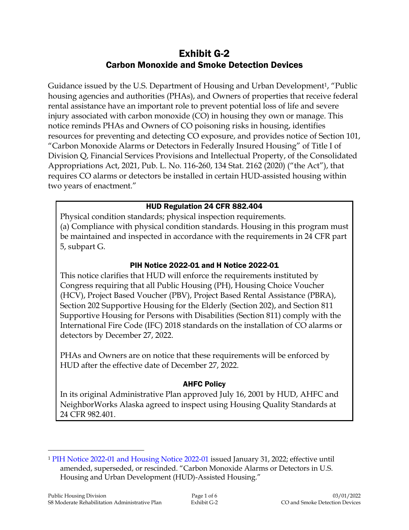# Exhibit G-2 Carbon Monoxide and Smoke Detection Devices

Guidance issued by the U.S. Department of Housing and Urban Development<sup>1</sup>, "Public housing agencies and authorities (PHAs), and Owners of properties that receive federal rental assistance have an important role to prevent potential loss of life and severe injury associated with carbon monoxide (CO) in housing they own or manage. This notice reminds PHAs and Owners of CO poisoning risks in housing, identifies resources for preventing and detecting CO exposure, and provides notice of Section 101, "Carbon Monoxide Alarms or Detectors in Federally Insured Housing" of Title I of Division Q, Financial Services Provisions and Intellectual Property, of the Consolidated Appropriations Act, 2021, Pub. L. No. 116-260, 134 Stat. 2162 (2020) ("the Act"), that requires CO alarms or detectors be installed in certain HUD-assisted housing within two years of enactment."

### HUD Regulation 24 CFR 882.404

Physical condition standards; physical inspection requirements. (a) Compliance with physical condition standards. Housing in this program must be maintained and inspected in accordance with the requirements in 24 CFR part 5, subpart G.

### PIH Notice 2022-01 and H Notice 2022-01

This notice clarifies that HUD will enforce the requirements instituted by Congress requiring that all Public Housing (PH), Housing Choice Voucher (HCV), Project Based Voucher (PBV), Project Based Rental Assistance (PBRA), Section 202 Supportive Housing for the Elderly (Section 202), and Section 811 Supportive Housing for Persons with Disabilities (Section 811) comply with the International Fire Code (IFC) 2018 standards on the installation of CO alarms or detectors by December 27, 2022.

PHAs and Owners are on notice that these requirements will be enforced by HUD after the effective date of December 27, 2022.

#### AHFC Policy

In its original Administrative Plan approved July 16, 2001 by HUD, AHFC and NeighborWorks Alaska agreed to inspect using Housing Quality Standards at 24 CFR 982.401.

 $\overline{a}$ 

<sup>1</sup> [PIH Notice 2022-01 and Housing Notice 2022-01](https://intranet/download_file/21317) issued January 31, 2022; effective until amended, superseded, or rescinded. "Carbon Monoxide Alarms or Detectors in U.S. Housing and Urban Development (HUD)-Assisted Housing."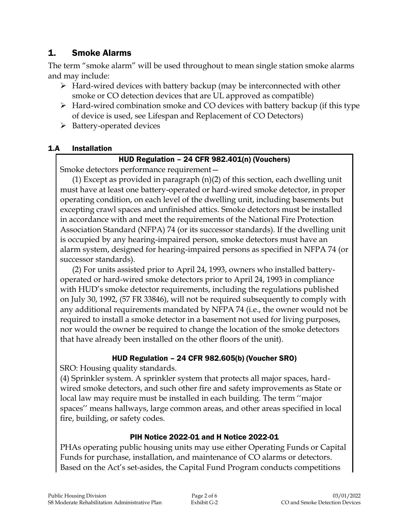# 1. Smoke Alarms

The term "smoke alarm" will be used throughout to mean single station smoke alarms and may include:

- $\triangleright$  Hard-wired devices with battery backup (may be interconnected with other smoke or CO detection devices that are UL approved as compatible)
- $\triangleright$  Hard-wired combination smoke and CO devices with battery backup (if this type of device is used, see Lifespan and Replacement of CO Detectors)
- $\triangleright$  Battery-operated devices

### 1.A Installation

# HUD Regulation – 24 CFR 982.401(n) (Vouchers)

Smoke detectors performance requirement—

(1) Except as provided in paragraph (n)(2) of this section, each dwelling unit must have at least one battery-operated or hard-wired smoke detector, in proper operating condition, on each level of the dwelling unit, including basements but excepting crawl spaces and unfinished attics. Smoke detectors must be installed in accordance with and meet the requirements of the National Fire Protection Association Standard (NFPA) 74 (or its successor standards). If the dwelling unit is occupied by any hearing-impaired person, smoke detectors must have an alarm system, designed for hearing-impaired persons as specified in NFPA 74 (or successor standards).

(2) For units assisted prior to April 24, 1993, owners who installed batteryoperated or hard-wired smoke detectors prior to April 24, 1993 in compliance with HUD's smoke detector requirements, including the regulations published on July 30, 1992, (57 FR 33846), will not be required subsequently to comply with any additional requirements mandated by NFPA 74 (i.e., the owner would not be required to install a smoke detector in a basement not used for living purposes, nor would the owner be required to change the location of the smoke detectors that have already been installed on the other floors of the unit).

# HUD Regulation – 24 CFR 982.605(b) (Voucher SRO)

SRO: Housing quality standards.

(4) Sprinkler system. A sprinkler system that protects all major spaces, hardwired smoke detectors, and such other fire and safety improvements as State or local law may require must be installed in each building. The term ''major spaces'' means hallways, large common areas, and other areas specified in local fire, building, or safety codes.

# PIH Notice 2022-01 and H Notice 2022-01

PHAs operating public housing units may use either Operating Funds or Capital Funds for purchase, installation, and maintenance of CO alarms or detectors. Based on the Act's set-asides, the Capital Fund Program conducts competitions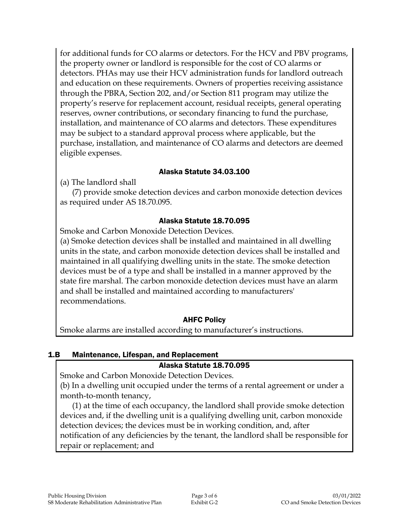for additional funds for CO alarms or detectors. For the HCV and PBV programs, the property owner or landlord is responsible for the cost of CO alarms or detectors. PHAs may use their HCV administration funds for landlord outreach and education on these requirements. Owners of properties receiving assistance through the PBRA, Section 202, and/or Section 811 program may utilize the property's reserve for replacement account, residual receipts, general operating reserves, owner contributions, or secondary financing to fund the purchase, installation, and maintenance of CO alarms and detectors. These expenditures may be subject to a standard approval process where applicable, but the purchase, installation, and maintenance of CO alarms and detectors are deemed eligible expenses.

### Alaska Statute 34.03.100

(a) The landlord shall

(7) provide smoke detection devices and carbon monoxide detection devices as required under AS 18.70.095.

### Alaska Statute 18.70.095

Smoke and Carbon Monoxide Detection Devices.

(a) Smoke detection devices shall be installed and maintained in all dwelling units in the state, and carbon monoxide detection devices shall be installed and maintained in all qualifying dwelling units in the state. The smoke detection devices must be of a type and shall be installed in a manner approved by the state fire marshal. The carbon monoxide detection devices must have an alarm and shall be installed and maintained according to manufacturers' recommendations.

### AHFC Policy

Smoke alarms are installed according to manufacturer's instructions.

#### 1.B Maintenance, Lifespan, and Replacement

#### Alaska Statute 18.70.095

Smoke and Carbon Monoxide Detection Devices.

(b) In a dwelling unit occupied under the terms of a rental agreement or under a month-to-month tenancy,

(1) at the time of each occupancy, the landlord shall provide smoke detection devices and, if the dwelling unit is a qualifying dwelling unit, carbon monoxide detection devices; the devices must be in working condition, and, after notification of any deficiencies by the tenant, the landlord shall be responsible for repair or replacement; and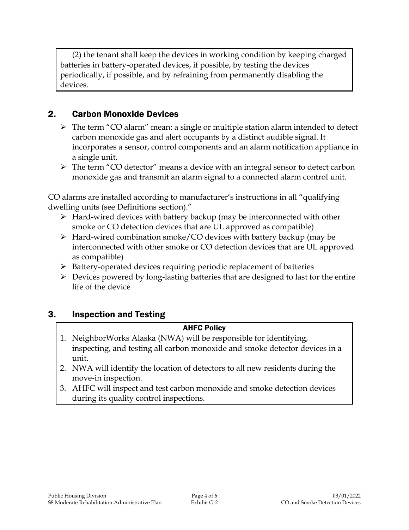(2) the tenant shall keep the devices in working condition by keeping charged batteries in battery-operated devices, if possible, by testing the devices periodically, if possible, and by refraining from permanently disabling the devices.

# 2. Carbon Monoxide Devices

- The term "CO alarm" mean: a single or multiple station alarm intended to detect carbon monoxide gas and alert occupants by a distinct audible signal. It incorporates a sensor, control components and an alarm notification appliance in a single unit.
- The term "CO detector" means a device with an integral sensor to detect carbon monoxide gas and transmit an alarm signal to a connected alarm control unit.

CO alarms are installed according to manufacturer's instructions in all "qualifying dwelling units (see Definitions section)."

- $\triangleright$  Hard-wired devices with battery backup (may be interconnected with other smoke or CO detection devices that are UL approved as compatible)
- $\triangleright$  Hard-wired combination smoke/CO devices with battery backup (may be interconnected with other smoke or CO detection devices that are UL approved as compatible)
- $\triangleright$  Battery-operated devices requiring periodic replacement of batteries
- $\triangleright$  Devices powered by long-lasting batteries that are designed to last for the entire life of the device

# 3. Inspection and Testing

#### AHFC Policy

- 1. NeighborWorks Alaska (NWA) will be responsible for identifying, inspecting, and testing all carbon monoxide and smoke detector devices in a unit.
- 2. NWA will identify the location of detectors to all new residents during the move-in inspection.
- 3. AHFC will inspect and test carbon monoxide and smoke detection devices during its quality control inspections.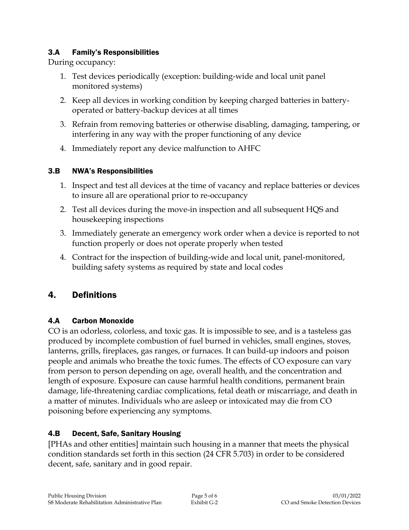### 3.A Family's Responsibilities

During occupancy:

- 1. Test devices periodically (exception: building-wide and local unit panel monitored systems)
- 2. Keep all devices in working condition by keeping charged batteries in batteryoperated or battery-backup devices at all times
- 3. Refrain from removing batteries or otherwise disabling, damaging, tampering, or interfering in any way with the proper functioning of any device
- 4. Immediately report any device malfunction to AHFC

# 3.B NWA's Responsibilities

- 1. Inspect and test all devices at the time of vacancy and replace batteries or devices to insure all are operational prior to re-occupancy
- 2. Test all devices during the move-in inspection and all subsequent HQS and housekeeping inspections
- 3. Immediately generate an emergency work order when a device is reported to not function properly or does not operate properly when tested
- 4. Contract for the inspection of building-wide and local unit, panel-monitored, building safety systems as required by state and local codes

# 4. Definitions

# 4.A Carbon Monoxide

CO is an odorless, colorless, and toxic gas. It is impossible to see, and is a tasteless gas produced by incomplete combustion of fuel burned in vehicles, small engines, stoves, lanterns, grills, fireplaces, gas ranges, or furnaces. It can build-up indoors and poison people and animals who breathe the toxic fumes. The effects of CO exposure can vary from person to person depending on age, overall health, and the concentration and length of exposure. Exposure can cause harmful health conditions, permanent brain damage, life-threatening cardiac complications, fetal death or miscarriage, and death in a matter of minutes. Individuals who are asleep or intoxicated may die from CO poisoning before experiencing any symptoms.

# 4.B Decent, Safe, Sanitary Housing

[PHAs and other entities] maintain such housing in a manner that meets the physical condition standards set forth in this section (24 CFR 5.703) in order to be considered decent, safe, sanitary and in good repair.